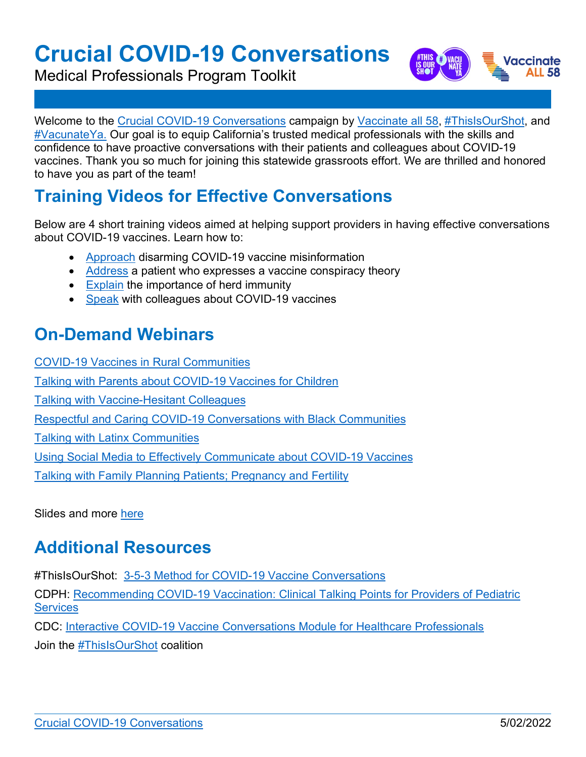# **Crucial COVID-19 Conversations**

Medical Professionals Program Toolkit



Welcome to the [Crucial COVID-19 Conversations](https://eziz.org/covid/30conversations/) campaign by [Vaccinate all 58,](https://www.vaccinateall58.com/) [#ThisIsOurShot,](https://thisisourshot.info/) and [#VacunateYa.](https://vacunateya.com/) Our goal is to equip California's trusted medical professionals with the skills and confidence to have proactive conversations with their patients and colleagues about COVID-19 vaccines. Thank you so much for joining this statewide grassroots effort. We are thrilled and honored to have you as part of the team!

## **Training Videos for Effective Conversations**

Below are 4 short training videos aimed at helping support providers in having effective conversations about COVID-19 vaccines. Learn how to:

- [Approach](https://www.youtube.com/watch?v=C-k0EUtdev8) disarming COVID-19 vaccine misinformation
- [Address](https://www.youtube.com/watch?v=sS30C8RJP60&ab_channel=CAEZIZ) a patient who expresses a vaccine conspiracy theory
- [Explain](https://www.youtube.com/watch?v=hNePkkWcfS8&ab_channel=CAEZIZ) the importance of herd immunity
- [Speak](https://www.youtube.com/watch?v=90llS_Cioe4&ab_channel=CAEZIZ) with colleagues about COVID-19 vaccines

## **On-Demand Webinars**

[COVID-19 Vaccines in Rural Communities](https://www.youtube.com/watch?v=hTPUYYVzMhA&feature=youtu.be) [Talking with Parents about COVID-19 Vaccines for Children](https://www.youtube.com/watch?v=fhUcoeLEUWg) [Talking with Vaccine-Hesitant Colleagues](https://www.youtube.com/watch?v=nJ96VeuWE78&feature=youtu.be) [Respectful and Caring COVID-19 Conversations with Black Communities](https://www.youtube.com/watch?v=B3War9JrUkQ&feature=youtu.be) [Talking with Latinx Communities](https://www.youtube.com/watch?v=NDqLtKM-iR4) Using Social [Media to Effectively Communicate about COVID-19 Vaccines](https://www.youtube.com/watch?v=6NL9jGR0y0Y) [Talking with Family Planning Patients; Pregnancy and Fertility](https://www.youtube.com/watch?v=VgK6-77rOrs)

Slides and more [here](https://eziz.org/covid/30conversations/)

### **Additional Resources**

#ThisIsOurShot: 3-5-3 [Method for COVID-19 Vaccine Conversations](https://drive.google.com/file/d/1VDFFas4YiUTNVzfUqARrsgtZYRRCVn6j/view)

CDPH: [Recommending COVID-19 Vaccination: Clinical Talking Points for Providers of Pediatric](https://eziz.org/assets/docs/COVID19/IMM-1431.pdf)  **[Services](https://eziz.org/assets/docs/COVID19/IMM-1431.pdf)** 

CDC: [Interactive COVID-19 Vaccine Conversations Module for Healthcare Professionals](https://www.cdc.gov/vaccines/covid-19/hcp/conversations-module.html)

Join the [#ThisIsOurShot](https://thisisourshot.info/join-us/) coalition